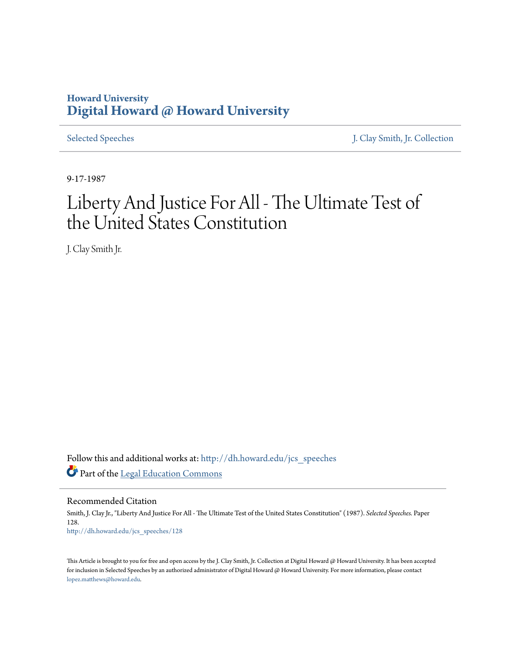## **Howard University [Digital Howard @ Howard University](http://dh.howard.edu?utm_source=dh.howard.edu%2Fjcs_speeches%2F128&utm_medium=PDF&utm_campaign=PDFCoverPages)**

[Selected Speeches](http://dh.howard.edu/jcs_speeches?utm_source=dh.howard.edu%2Fjcs_speeches%2F128&utm_medium=PDF&utm_campaign=PDFCoverPages) [J. Clay Smith, Jr. Collection](http://dh.howard.edu/jcsmith?utm_source=dh.howard.edu%2Fjcs_speeches%2F128&utm_medium=PDF&utm_campaign=PDFCoverPages)

9-17-1987

## Liberty And Justice For All - The Ultimate Test of the United States Constitution

J. Clay Smith Jr.

Follow this and additional works at: [http://dh.howard.edu/jcs\\_speeches](http://dh.howard.edu/jcs_speeches?utm_source=dh.howard.edu%2Fjcs_speeches%2F128&utm_medium=PDF&utm_campaign=PDFCoverPages) Part of the [Legal Education Commons](http://network.bepress.com/hgg/discipline/857?utm_source=dh.howard.edu%2Fjcs_speeches%2F128&utm_medium=PDF&utm_campaign=PDFCoverPages)

Recommended Citation Smith, J. Clay Jr., "Liberty And Justice For All - The Ultimate Test of the United States Constitution" (1987). *Selected Speeches.* Paper 128. [http://dh.howard.edu/jcs\\_speeches/128](http://dh.howard.edu/jcs_speeches/128?utm_source=dh.howard.edu%2Fjcs_speeches%2F128&utm_medium=PDF&utm_campaign=PDFCoverPages)

This Article is brought to you for free and open access by the J. Clay Smith, Jr. Collection at Digital Howard @ Howard University. It has been accepted for inclusion in Selected Speeches by an authorized administrator of Digital Howard @ Howard University. For more information, please contact [lopez.matthews@howard.edu.](mailto:lopez.matthews@howard.edu)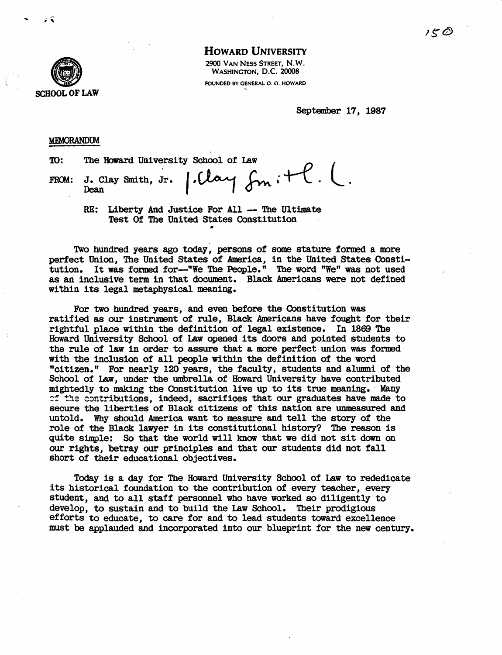

HOWARD UNIVERSITY

2900 VAN NESS STREET, N.W. WASHINGTON, D.C. 20008 FOUNDED BY GENERAL O. O. HOWARD

September 17, 1987

## **MEMORANDUM**

TO: FROM:  $\frac{DUM}{DUM}$ <br>The Howard University School of Law  $\begin{array}{ccc} & \rho & \end{array}$  $_{\text{Desn}}$  smith, Jr.  $|.$ Clay  $_{\text{fnn}}$  ;  $+$   $\ell$ .  $\ell$ .

> RE: Liberty And Justice For All -- The Ultimate Test Of The United States Constitution •

Two hundred years ago today, persons of some stature formed a more perfect Union, The United States of America, in the United States Constitution. It was formed for-"We The People." The word "We" was not used as an inclusive term in that document. Black Americans were not defined within its legal netaphysical meaning.

For two hundred years, and even before the Constitution was ratified as our instrument of rule, Black Americans have fought for their rightful place within the definition of legal existence. In 1869 The Howard University School of Law opened its doors and pointed students to the rule of law in order to assure that a more perfect union was formed with the inclusion of all people within the definition of the word "citizen." For nearly 120 years, the faculty, students and alumni of the School of Law, under the umbrella of Howard University have contributed mightedly to making the Constitution live up to its true meaning. Many  $f$ : the contributions, indeed, sacrifices that our graduates have made to secure the liberties of Black citizens of this nation are unmeasured and untold. Why should America want to measure and tell the story of the role of the Black lawyer in its constitutional history? The reason is quite simple: So that the world will know that we did not sit down on our rights, betray our principles and that our students did not fall short of their educational objectives.

Today is a day for The Howard University School. of Law to rededicate its historical foundation to the contribution of every teacher, every student, and to all staff personnel who have worked so diligently to develop, to sustain and to build the Law School. Their prodigious efforts to educate, to care for and to lead students toward excellence must be applauded and incorporated into our blueprint for the new century.